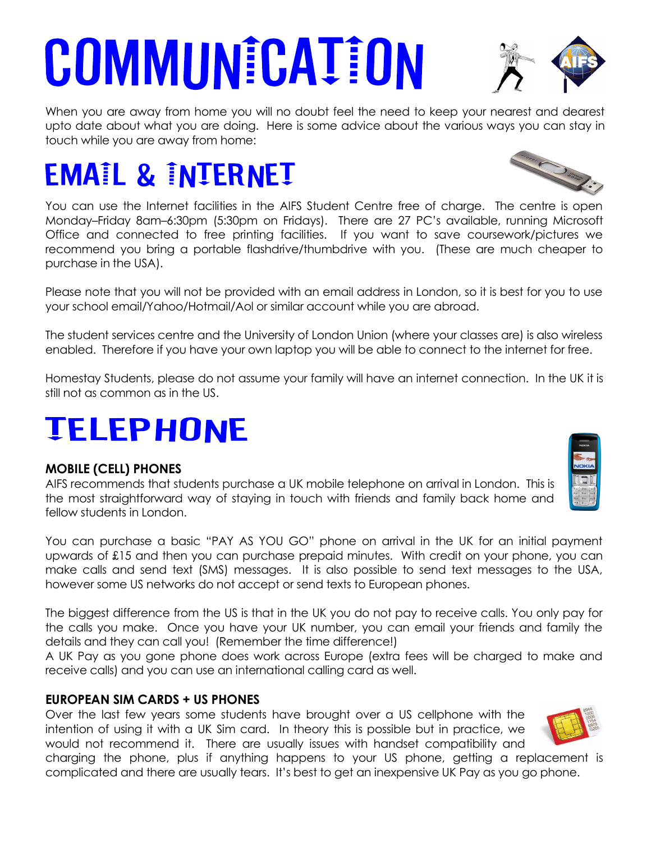# **COMMUNICATION**

When you are away from home you will no doubt feel the need to keep your nearest and dearest upto date about what you are doing. Here is some advice about the various ways you can stay in touch while you are away from home:

# **EMAIL & INTERNET**

You can use the Internet facilities in the AIFS Student Centre free of charge. The centre is open Monday–Friday 8am–6:30pm (5:30pm on Fridays). There are 27 PC's available, running Microsoft Office and connected to free printing facilities. If you want to save coursework/pictures we recommend you bring a portable flashdrive/thumbdrive with you. (These are much cheaper to purchase in the USA).

Please note that you will not be provided with an email address in London, so it is best for you to use your school email/Yahoo/Hotmail/Aol or similar account while you are abroad.

The student services centre and the University of London Union (where your classes are) is also wireless enabled. Therefore if you have your own laptop you will be able to connect to the internet for free.

Homestay Students, please do not assume your family will have an internet connection. In the UK it is still not as common as in the US.

# **TELEPHONE**

#### **MOBILE (CELL) PHONES**

AIFS recommends that students purchase a UK mobile telephone on arrival in London. This is the most straightforward way of staying in touch with friends and family back home and fellow students in London.

You can purchase a basic "PAY AS YOU GO" phone on arrival in the UK for an initial payment upwards of £15 and then you can purchase prepaid minutes. With credit on your phone, you can make calls and send text (SMS) messages. It is also possible to send text messages to the USA, however some US networks do not accept or send texts to European phones.

The biggest difference from the US is that in the UK you do not pay to receive calls. You only pay for the calls you make. Once you have your UK number, you can email your friends and family the details and they can call you! (Remember the time difference!)

A UK Pay as you gone phone does work across Europe (extra fees will be charged to make and receive calls) and you can use an international calling card as well.

#### **EUROPEAN SIM CARDS + US PHONES**

Over the last few years some students have brought over a US cellphone with the intention of using it with a UK Sim card. In theory this is possible but in practice, we would not recommend it. There are usually issues with handset compatibility and

charging the phone, plus if anything happens to your US phone, getting a replacement is complicated and there are usually tears. It's best to get an inexpensive UK Pay as you go phone.



**Supply State of Society**